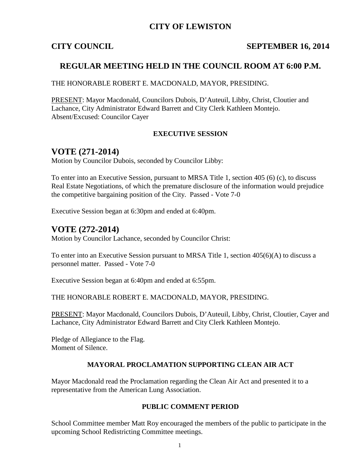### **CITY OF LEWISTON**

### **CITY COUNCIL SEPTEMBER 16, 2014**

## **REGULAR MEETING HELD IN THE COUNCIL ROOM AT 6:00 P.M.**

THE HONORABLE ROBERT E. MACDONALD, MAYOR, PRESIDING.

PRESENT: Mayor Macdonald, Councilors Dubois, D'Auteuil, Libby, Christ, Cloutier and Lachance, City Administrator Edward Barrett and City Clerk Kathleen Montejo. Absent/Excused: Councilor Cayer

#### **EXECUTIVE SESSION**

## **VOTE (271-2014)**

Motion by Councilor Dubois, seconded by Councilor Libby:

To enter into an Executive Session, pursuant to MRSA Title 1, section 405 (6) (c), to discuss Real Estate Negotiations, of which the premature disclosure of the information would prejudice the competitive bargaining position of the City. Passed - Vote 7-0

Executive Session began at 6:30pm and ended at 6:40pm.

## **VOTE (272-2014)**

Motion by Councilor Lachance, seconded by Councilor Christ:

To enter into an Executive Session pursuant to MRSA Title 1, section 405(6)(A) to discuss a personnel matter. Passed - Vote 7-0

Executive Session began at 6:40pm and ended at 6:55pm.

THE HONORABLE ROBERT E. MACDONALD, MAYOR, PRESIDING.

PRESENT: Mayor Macdonald, Councilors Dubois, D'Auteuil, Libby, Christ, Cloutier, Cayer and Lachance, City Administrator Edward Barrett and City Clerk Kathleen Montejo.

Pledge of Allegiance to the Flag. Moment of Silence.

#### **MAYORAL PROCLAMATION SUPPORTING CLEAN AIR ACT**

Mayor Macdonald read the Proclamation regarding the Clean Air Act and presented it to a representative from the American Lung Association.

#### **PUBLIC COMMENT PERIOD**

School Committee member Matt Roy encouraged the members of the public to participate in the upcoming School Redistricting Committee meetings.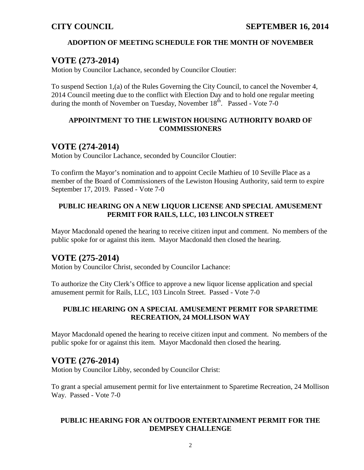### **ADOPTION OF MEETING SCHEDULE FOR THE MONTH OF NOVEMBER**

## **VOTE (273-2014)**

Motion by Councilor Lachance, seconded by Councilor Cloutier:

To suspend Section 1,(a) of the Rules Governing the City Council, to cancel the November 4, 2014 Council meeting due to the conflict with Election Day and to hold one regular meeting during the month of November on Tuesday, November  $18<sup>th</sup>$ . Passed - Vote 7-0

#### **APPOINTMENT TO THE LEWISTON HOUSING AUTHORITY BOARD OF COMMISSIONERS**

## **VOTE (274-2014)**

Motion by Councilor Lachance, seconded by Councilor Cloutier:

To confirm the Mayor's nomination and to appoint Cecile Mathieu of 10 Seville Place as a member of the Board of Commissioners of the Lewiston Housing Authority, said term to expire September 17, 2019. Passed - Vote 7-0

### **PUBLIC HEARING ON A NEW LIQUOR LICENSE AND SPECIAL AMUSEMENT PERMIT FOR RAILS, LLC, 103 LINCOLN STREET**

Mayor Macdonald opened the hearing to receive citizen input and comment. No members of the public spoke for or against this item. Mayor Macdonald then closed the hearing.

## **VOTE (275-2014)**

Motion by Councilor Christ, seconded by Councilor Lachance:

To authorize the City Clerk's Office to approve a new liquor license application and special amusement permit for Rails, LLC, 103 Lincoln Street. Passed - Vote 7-0

#### **PUBLIC HEARING ON A SPECIAL AMUSEMENT PERMIT FOR SPARETIME RECREATION, 24 MOLLISON WAY**

Mayor Macdonald opened the hearing to receive citizen input and comment. No members of the public spoke for or against this item. Mayor Macdonald then closed the hearing.

## **VOTE (276-2014)**

Motion by Councilor Libby, seconded by Councilor Christ:

To grant a special amusement permit for live entertainment to Sparetime Recreation, 24 Mollison Way. Passed - Vote 7-0

### **PUBLIC HEARING FOR AN OUTDOOR ENTERTAINMENT PERMIT FOR THE DEMPSEY CHALLENGE**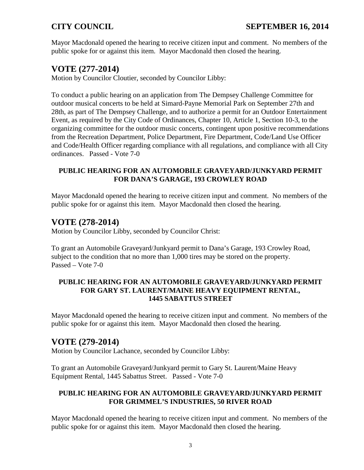Mayor Macdonald opened the hearing to receive citizen input and comment. No members of the public spoke for or against this item. Mayor Macdonald then closed the hearing.

# **VOTE (277-2014)**

Motion by Councilor Cloutier, seconded by Councilor Libby:

To conduct a public hearing on an application from The Dempsey Challenge Committee for outdoor musical concerts to be held at Simard-Payne Memorial Park on September 27th and 28th, as part of The Dempsey Challenge, and to authorize a permit for an Outdoor Entertainment Event, as required by the City Code of Ordinances, Chapter 10, Article 1, Section 10-3, to the organizing committee for the outdoor music concerts, contingent upon positive recommendations from the Recreation Department, Police Department, Fire Department, Code/Land Use Officer and Code/Health Officer regarding compliance with all regulations, and compliance with all City ordinances. Passed - Vote 7-0

### **PUBLIC HEARING FOR AN AUTOMOBILE GRAVEYARD/JUNKYARD PERMIT FOR DANA'S GARAGE, 193 CROWLEY ROAD**

Mayor Macdonald opened the hearing to receive citizen input and comment. No members of the public spoke for or against this item. Mayor Macdonald then closed the hearing.

# **VOTE (278-2014)**

Motion by Councilor Libby, seconded by Councilor Christ:

To grant an Automobile Graveyard/Junkyard permit to Dana's Garage, 193 Crowley Road, subject to the condition that no more than 1,000 tires may be stored on the property. Passed – Vote 7-0

#### **PUBLIC HEARING FOR AN AUTOMOBILE GRAVEYARD/JUNKYARD PERMIT FOR GARY ST. LAURENT/MAINE HEAVY EQUIPMENT RENTAL, 1445 SABATTUS STREET**

Mayor Macdonald opened the hearing to receive citizen input and comment. No members of the public spoke for or against this item. Mayor Macdonald then closed the hearing.

# **VOTE (279-2014)**

Motion by Councilor Lachance, seconded by Councilor Libby:

To grant an Automobile Graveyard/Junkyard permit to Gary St. Laurent/Maine Heavy Equipment Rental, 1445 Sabattus Street. Passed - Vote 7-0

### **PUBLIC HEARING FOR AN AUTOMOBILE GRAVEYARD/JUNKYARD PERMIT FOR GRIMMEL'S INDUSTRIES, 50 RIVER ROAD**

Mayor Macdonald opened the hearing to receive citizen input and comment. No members of the public spoke for or against this item. Mayor Macdonald then closed the hearing.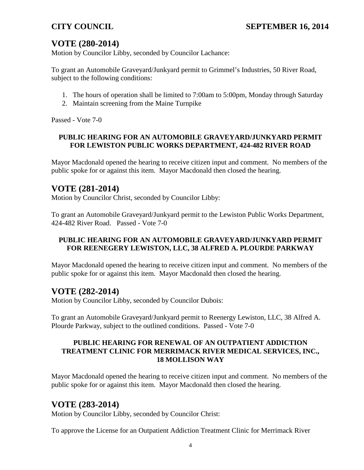# **VOTE (280-2014)**

Motion by Councilor Libby, seconded by Councilor Lachance:

To grant an Automobile Graveyard/Junkyard permit to Grimmel's Industries, 50 River Road, subject to the following conditions:

- 1. The hours of operation shall be limited to 7:00am to 5:00pm, Monday through Saturday
- 2. Maintain screening from the Maine Turnpike

Passed - Vote 7-0

#### **PUBLIC HEARING FOR AN AUTOMOBILE GRAVEYARD/JUNKYARD PERMIT FOR LEWISTON PUBLIC WORKS DEPARTMENT, 424-482 RIVER ROAD**

Mayor Macdonald opened the hearing to receive citizen input and comment. No members of the public spoke for or against this item. Mayor Macdonald then closed the hearing.

## **VOTE (281-2014)**

Motion by Councilor Christ, seconded by Councilor Libby:

To grant an Automobile Graveyard/Junkyard permit to the Lewiston Public Works Department, 424-482 River Road. Passed - Vote 7-0

#### **PUBLIC HEARING FOR AN AUTOMOBILE GRAVEYARD/JUNKYARD PERMIT FOR REENEGERY LEWISTON, LLC, 38 ALFRED A. PLOURDE PARKWAY**

Mayor Macdonald opened the hearing to receive citizen input and comment. No members of the public spoke for or against this item. Mayor Macdonald then closed the hearing.

## **VOTE (282-2014)**

Motion by Councilor Libby, seconded by Councilor Dubois:

To grant an Automobile Graveyard/Junkyard permit to Reenergy Lewiston, LLC, 38 Alfred A. Plourde Parkway, subject to the outlined conditions. Passed - Vote 7-0

#### **PUBLIC HEARING FOR RENEWAL OF AN OUTPATIENT ADDICTION TREATMENT CLINIC FOR MERRIMACK RIVER MEDICAL SERVICES, INC., 18 MOLLISON WAY**

Mayor Macdonald opened the hearing to receive citizen input and comment. No members of the public spoke for or against this item. Mayor Macdonald then closed the hearing.

## **VOTE (283-2014)**

Motion by Councilor Libby, seconded by Councilor Christ:

To approve the License for an Outpatient Addiction Treatment Clinic for Merrimack River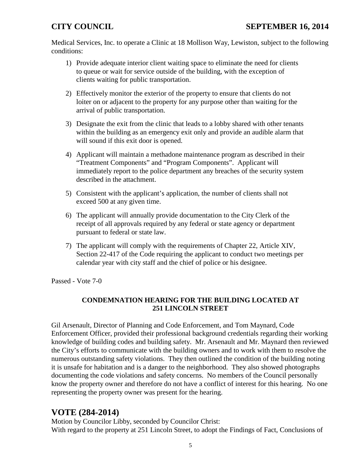Medical Services, Inc. to operate a Clinic at 18 Mollison Way, Lewiston, subject to the following conditions:

- 1) Provide adequate interior client waiting space to eliminate the need for clients to queue or wait for service outside of the building, with the exception of clients waiting for public transportation.
- 2) Effectively monitor the exterior of the property to ensure that clients do not loiter on or adjacent to the property for any purpose other than waiting for the arrival of public transportation.
- 3) Designate the exit from the clinic that leads to a lobby shared with other tenants within the building as an emergency exit only and provide an audible alarm that will sound if this exit door is opened.
- 4) Applicant will maintain a methadone maintenance program as described in their "Treatment Components" and "Program Components". Applicant will immediately report to the police department any breaches of the security system described in the attachment.
- 5) Consistent with the applicant's application, the number of clients shall not exceed 500 at any given time.
- 6) The applicant will annually provide documentation to the City Clerk of the receipt of all approvals required by any federal or state agency or department pursuant to federal or state law.
- 7) The applicant will comply with the requirements of Chapter 22, Article XIV, Section 22-417 of the Code requiring the applicant to conduct two meetings per calendar year with city staff and the chief of police or his designee.

Passed - Vote 7-0

### **CONDEMNATION HEARING FOR THE BUILDING LOCATED AT 251 LINCOLN STREET**

Gil Arsenault, Director of Planning and Code Enforcement, and Tom Maynard, Code Enforcement Officer, provided their professional background credentials regarding their working knowledge of building codes and building safety. Mr. Arsenault and Mr. Maynard then reviewed the City's efforts to communicate with the building owners and to work with them to resolve the numerous outstanding safety violations. They then outlined the condition of the building noting it is unsafe for habitation and is a danger to the neighborhood. They also showed photographs documenting the code violations and safety concerns. No members of the Council personally know the property owner and therefore do not have a conflict of interest for this hearing. No one representing the property owner was present for the hearing.

# **VOTE (284-2014)**

Motion by Councilor Libby, seconded by Councilor Christ: With regard to the property at 251 Lincoln Street, to adopt the Findings of Fact, Conclusions of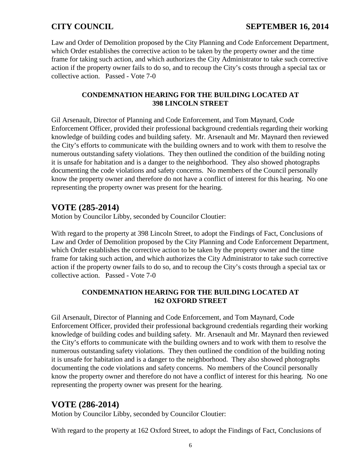## **CITY COUNCIL SEPTEMBER 16, 2014**

Law and Order of Demolition proposed by the City Planning and Code Enforcement Department, which Order establishes the corrective action to be taken by the property owner and the time frame for taking such action, and which authorizes the City Administrator to take such corrective action if the property owner fails to do so, and to recoup the City's costs through a special tax or collective action. Passed - Vote 7-0

#### **CONDEMNATION HEARING FOR THE BUILDING LOCATED AT 398 LINCOLN STREET**

Gil Arsenault, Director of Planning and Code Enforcement, and Tom Maynard, Code Enforcement Officer, provided their professional background credentials regarding their working knowledge of building codes and building safety. Mr. Arsenault and Mr. Maynard then reviewed the City's efforts to communicate with the building owners and to work with them to resolve the numerous outstanding safety violations. They then outlined the condition of the building noting it is unsafe for habitation and is a danger to the neighborhood. They also showed photographs documenting the code violations and safety concerns. No members of the Council personally know the property owner and therefore do not have a conflict of interest for this hearing. No one representing the property owner was present for the hearing.

## **VOTE (285-2014)**

Motion by Councilor Libby, seconded by Councilor Cloutier:

With regard to the property at 398 Lincoln Street, to adopt the Findings of Fact, Conclusions of Law and Order of Demolition proposed by the City Planning and Code Enforcement Department, which Order establishes the corrective action to be taken by the property owner and the time frame for taking such action, and which authorizes the City Administrator to take such corrective action if the property owner fails to do so, and to recoup the City's costs through a special tax or collective action. Passed - Vote 7-0

### **CONDEMNATION HEARING FOR THE BUILDING LOCATED AT 162 OXFORD STREET**

Gil Arsenault, Director of Planning and Code Enforcement, and Tom Maynard, Code Enforcement Officer, provided their professional background credentials regarding their working knowledge of building codes and building safety. Mr. Arsenault and Mr. Maynard then reviewed the City's efforts to communicate with the building owners and to work with them to resolve the numerous outstanding safety violations. They then outlined the condition of the building noting it is unsafe for habitation and is a danger to the neighborhood. They also showed photographs documenting the code violations and safety concerns. No members of the Council personally know the property owner and therefore do not have a conflict of interest for this hearing. No one representing the property owner was present for the hearing.

## **VOTE (286-2014)**

Motion by Councilor Libby, seconded by Councilor Cloutier:

With regard to the property at 162 Oxford Street, to adopt the Findings of Fact, Conclusions of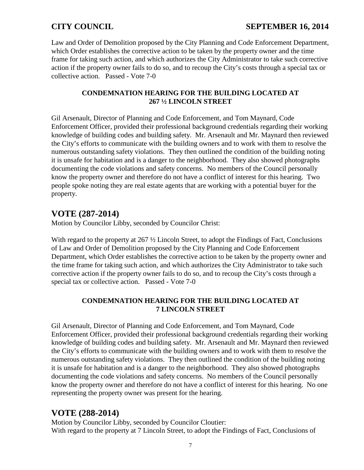Law and Order of Demolition proposed by the City Planning and Code Enforcement Department, which Order establishes the corrective action to be taken by the property owner and the time frame for taking such action, and which authorizes the City Administrator to take such corrective action if the property owner fails to do so, and to recoup the City's costs through a special tax or collective action. Passed - Vote 7-0

### **CONDEMNATION HEARING FOR THE BUILDING LOCATED AT 267 ½ LINCOLN STREET**

Gil Arsenault, Director of Planning and Code Enforcement, and Tom Maynard, Code Enforcement Officer, provided their professional background credentials regarding their working knowledge of building codes and building safety. Mr. Arsenault and Mr. Maynard then reviewed the City's efforts to communicate with the building owners and to work with them to resolve the numerous outstanding safety violations. They then outlined the condition of the building noting it is unsafe for habitation and is a danger to the neighborhood. They also showed photographs documenting the code violations and safety concerns. No members of the Council personally know the property owner and therefore do not have a conflict of interest for this hearing. Two people spoke noting they are real estate agents that are working with a potential buyer for the property.

# **VOTE (287-2014)**

Motion by Councilor Libby, seconded by Councilor Christ:

With regard to the property at 267  $\frac{1}{2}$  Lincoln Street, to adopt the Findings of Fact, Conclusions of Law and Order of Demolition proposed by the City Planning and Code Enforcement Department, which Order establishes the corrective action to be taken by the property owner and the time frame for taking such action, and which authorizes the City Administrator to take such corrective action if the property owner fails to do so, and to recoup the City's costs through a special tax or collective action. Passed - Vote 7-0

## **CONDEMNATION HEARING FOR THE BUILDING LOCATED AT 7 LINCOLN STREET**

Gil Arsenault, Director of Planning and Code Enforcement, and Tom Maynard, Code Enforcement Officer, provided their professional background credentials regarding their working knowledge of building codes and building safety. Mr. Arsenault and Mr. Maynard then reviewed the City's efforts to communicate with the building owners and to work with them to resolve the numerous outstanding safety violations. They then outlined the condition of the building noting it is unsafe for habitation and is a danger to the neighborhood. They also showed photographs documenting the code violations and safety concerns. No members of the Council personally know the property owner and therefore do not have a conflict of interest for this hearing. No one representing the property owner was present for the hearing.

# **VOTE (288-2014)**

Motion by Councilor Libby, seconded by Councilor Cloutier: With regard to the property at 7 Lincoln Street, to adopt the Findings of Fact, Conclusions of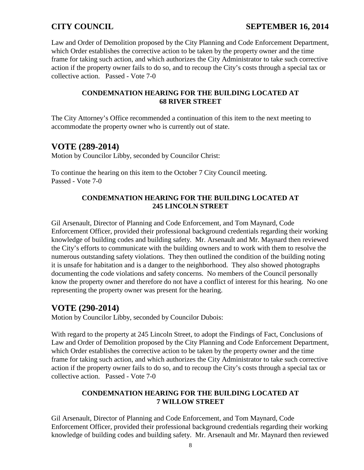## **CITY COUNCIL SEPTEMBER 16, 2014**

Law and Order of Demolition proposed by the City Planning and Code Enforcement Department, which Order establishes the corrective action to be taken by the property owner and the time frame for taking such action, and which authorizes the City Administrator to take such corrective action if the property owner fails to do so, and to recoup the City's costs through a special tax or collective action. Passed - Vote 7-0

#### **CONDEMNATION HEARING FOR THE BUILDING LOCATED AT 68 RIVER STREET**

The City Attorney's Office recommended a continuation of this item to the next meeting to accommodate the property owner who is currently out of state.

## **VOTE (289-2014)**

Motion by Councilor Libby, seconded by Councilor Christ:

To continue the hearing on this item to the October 7 City Council meeting. Passed - Vote 7-0

### **CONDEMNATION HEARING FOR THE BUILDING LOCATED AT 245 LINCOLN STREET**

Gil Arsenault, Director of Planning and Code Enforcement, and Tom Maynard, Code Enforcement Officer, provided their professional background credentials regarding their working knowledge of building codes and building safety. Mr. Arsenault and Mr. Maynard then reviewed the City's efforts to communicate with the building owners and to work with them to resolve the numerous outstanding safety violations. They then outlined the condition of the building noting it is unsafe for habitation and is a danger to the neighborhood. They also showed photographs documenting the code violations and safety concerns. No members of the Council personally know the property owner and therefore do not have a conflict of interest for this hearing. No one representing the property owner was present for the hearing.

## **VOTE (290-2014)**

Motion by Councilor Libby, seconded by Councilor Dubois:

With regard to the property at 245 Lincoln Street, to adopt the Findings of Fact, Conclusions of Law and Order of Demolition proposed by the City Planning and Code Enforcement Department, which Order establishes the corrective action to be taken by the property owner and the time frame for taking such action, and which authorizes the City Administrator to take such corrective action if the property owner fails to do so, and to recoup the City's costs through a special tax or collective action. Passed - Vote 7-0

#### **CONDEMNATION HEARING FOR THE BUILDING LOCATED AT 7 WILLOW STREET**

Gil Arsenault, Director of Planning and Code Enforcement, and Tom Maynard, Code Enforcement Officer, provided their professional background credentials regarding their working knowledge of building codes and building safety. Mr. Arsenault and Mr. Maynard then reviewed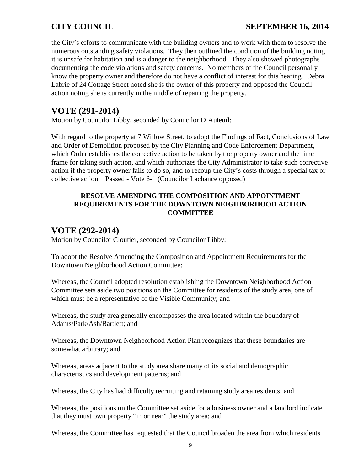## **CITY COUNCIL SEPTEMBER 16, 2014**

the City's efforts to communicate with the building owners and to work with them to resolve the numerous outstanding safety violations. They then outlined the condition of the building noting it is unsafe for habitation and is a danger to the neighborhood. They also showed photographs documenting the code violations and safety concerns. No members of the Council personally know the property owner and therefore do not have a conflict of interest for this hearing. Debra Labrie of 24 Cottage Street noted she is the owner of this property and opposed the Council action noting she is currently in the middle of repairing the property.

## **VOTE (291-2014)**

Motion by Councilor Libby, seconded by Councilor D'Auteuil:

With regard to the property at 7 Willow Street, to adopt the Findings of Fact, Conclusions of Law and Order of Demolition proposed by the City Planning and Code Enforcement Department, which Order establishes the corrective action to be taken by the property owner and the time frame for taking such action, and which authorizes the City Administrator to take such corrective action if the property owner fails to do so, and to recoup the City's costs through a special tax or collective action. Passed - Vote 6-1 (Councilor Lachance opposed)

#### **RESOLVE AMENDING THE COMPOSITION AND APPOINTMENT REQUIREMENTS FOR THE DOWNTOWN NEIGHBORHOOD ACTION COMMITTEE**

## **VOTE (292-2014)**

Motion by Councilor Cloutier, seconded by Councilor Libby:

To adopt the Resolve Amending the Composition and Appointment Requirements for the Downtown Neighborhood Action Committee:

Whereas, the Council adopted resolution establishing the Downtown Neighborhood Action Committee sets aside two positions on the Committee for residents of the study area, one of which must be a representative of the Visible Community; and

Whereas, the study area generally encompasses the area located within the boundary of Adams/Park/Ash/Bartlett; and

Whereas, the Downtown Neighborhood Action Plan recognizes that these boundaries are somewhat arbitrary; and

Whereas, areas adjacent to the study area share many of its social and demographic characteristics and development patterns; and

Whereas, the City has had difficulty recruiting and retaining study area residents; and

Whereas, the positions on the Committee set aside for a business owner and a landlord indicate that they must own property "in or near" the study area; and

Whereas, the Committee has requested that the Council broaden the area from which residents